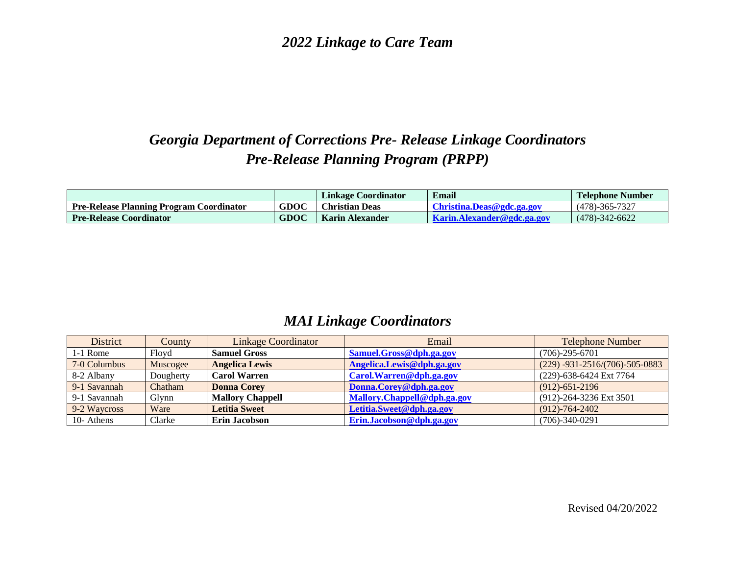*2022 Linkage to Care Team*

## *Georgia Department of Corrections Pre- Release Linkage Coordinators Pre-Release Planning Program (PRPP)*

|                                                 |             | Linkage Coordinator    | Email                                             | <b>Telephone Number</b> |
|-------------------------------------------------|-------------|------------------------|---------------------------------------------------|-------------------------|
| <b>Pre-Release Planning Program Coordinator</b> | <b>GDOC</b> | <b>Christian Deas</b>  | Christina.Deas@gdc.ga.gov                         | $(478) - 365 - 7327$    |
| <b>Pre-Release Coordinator</b>                  | GDOC        | <b>Karin Alexander</b> | <b>Example 1.1</b> Karin. A lexander @ gdc.ga.gov | $(478) - 342 - 6622$    |

## *MAI Linkage Coordinators*

| District     | County    | Linkage Coordinator     | Email                       | <b>Telephone Number</b>                |
|--------------|-----------|-------------------------|-----------------------------|----------------------------------------|
| 1-1 Rome     | Floyd     | <b>Samuel Gross</b>     | Samuel.Gross@dph.ga.gov     | $(706) - 295 - 6701$                   |
| 7-0 Columbus | Muscogee  | <b>Angelica Lewis</b>   | Angelica.Lewis@dph.ga.gov   | $(229) -931 - 2516/(706) - 505 - 0883$ |
| 8-2 Albany   | Dougherty | <b>Carol Warren</b>     | Carol. Warren@dph.ga.gov    | (229)-638-6424 Ext 7764                |
| 9-1 Savannah | Chatham   | <b>Donna Corey</b>      | Donna.Corey@dph.ga.gov      | $(912) - 651 - 2196$                   |
| 9-1 Savannah | Glvnn     | <b>Mallory Chappell</b> | Mallory.Chappell@dph.ga.gov | (912)-264-3236 Ext 3501                |
| 9-2 Waycross | Ware      | <b>Letitia Sweet</b>    | Letitia.Sweet@dph.ga.gov    | $(912) - 764 - 2402$                   |
| 10- Athens   | Clarke    | <b>Erin Jacobson</b>    | Erin.Jacobson@dph.ga.gov    | $(706)-340-0291$                       |

Revised 04/20/2022